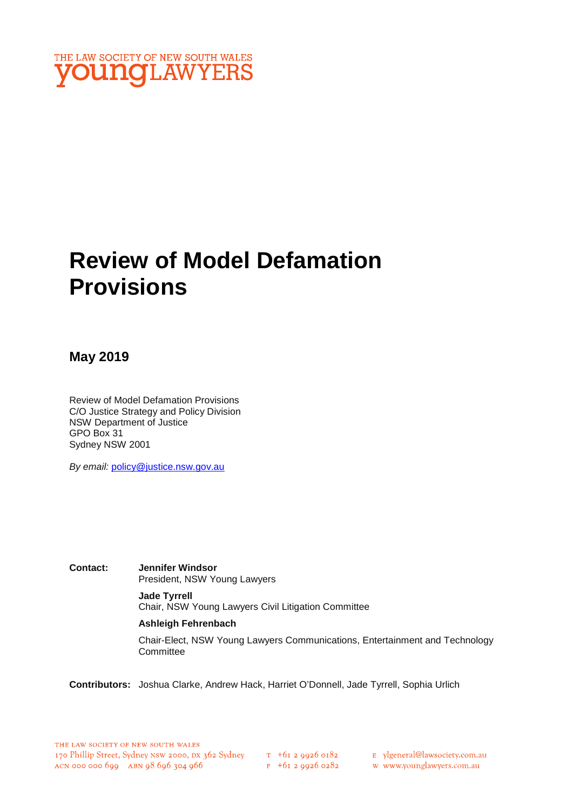

# **Review of Model Defamation Provisions**

## **May 2019**

Review of Model Defamation Provisions C/O Justice Strategy and Policy Division NSW Department of Justice GPO Box 31 Sydney NSW 2001

*By email:* policy@justice.nsw.gov.au

**Contact: Jennifer Windsor**  President, NSW Young Lawyers

> **Jade Tyrrell** Chair, NSW Young Lawyers Civil Litigation Committee

#### **Ashleigh Fehrenbach**

Chair-Elect, NSW Young Lawyers Communications, Entertainment and Technology **Committee** 

**Contributors:** Joshua Clarke, Andrew Hack, Harriet O'Donnell, Jade Tyrrell, Sophia Urlich

 $F$  +61 2 9926 0282

w www.younglawyers.com.au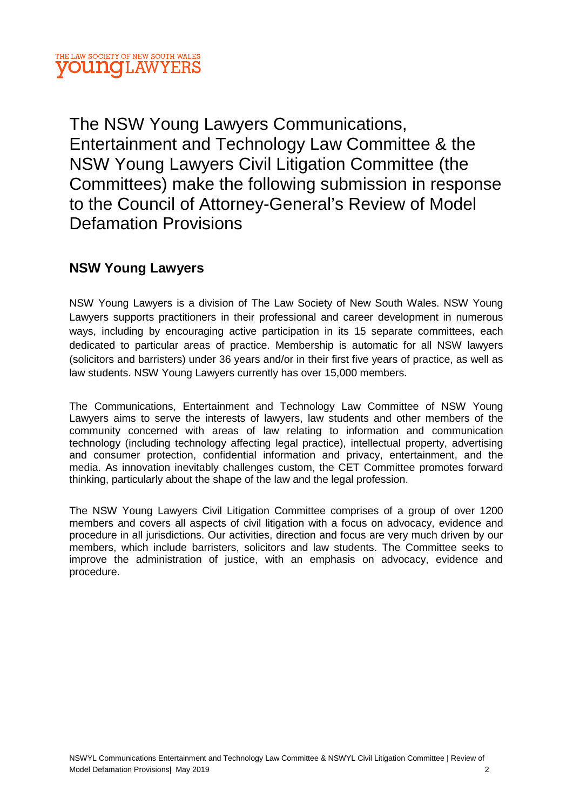The NSW Young Lawyers Communications, Entertainment and Technology Law Committee & the NSW Young Lawyers Civil Litigation Committee (the Committees) make the following submission in response to the Council of Attorney-General's Review of Model Defamation Provisions

# **NSW Young Lawyers**

NSW Young Lawyers is a division of The Law Society of New South Wales. NSW Young Lawyers supports practitioners in their professional and career development in numerous ways, including by encouraging active participation in its 15 separate committees, each dedicated to particular areas of practice. Membership is automatic for all NSW lawyers (solicitors and barristers) under 36 years and/or in their first five years of practice, as well as law students. NSW Young Lawyers currently has over 15,000 members.

The Communications, Entertainment and Technology Law Committee of NSW Young Lawyers aims to serve the interests of lawyers, law students and other members of the community concerned with areas of law relating to information and communication technology (including technology affecting legal practice), intellectual property, advertising and consumer protection, confidential information and privacy, entertainment, and the media. As innovation inevitably challenges custom, the CET Committee promotes forward thinking, particularly about the shape of the law and the legal profession.

The NSW Young Lawyers Civil Litigation Committee comprises of a group of over 1200 members and covers all aspects of civil litigation with a focus on advocacy, evidence and procedure in all jurisdictions. Our activities, direction and focus are very much driven by our members, which include barristers, solicitors and law students. The Committee seeks to improve the administration of justice, with an emphasis on advocacy, evidence and procedure.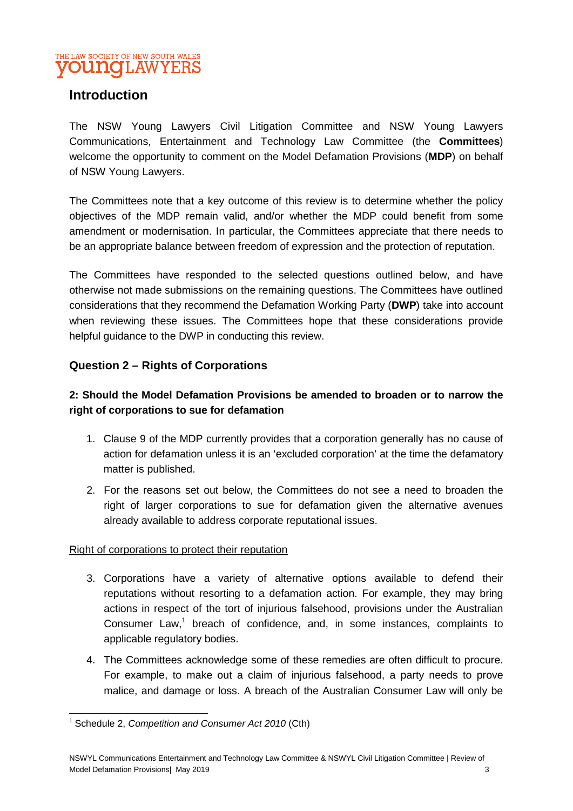

## **Introduction**

The NSW Young Lawyers Civil Litigation Committee and NSW Young Lawyers Communications, Entertainment and Technology Law Committee (the **Committees**) welcome the opportunity to comment on the Model Defamation Provisions (**MDP**) on behalf of NSW Young Lawyers.

The Committees note that a key outcome of this review is to determine whether the policy objectives of the MDP remain valid, and/or whether the MDP could benefit from some amendment or modernisation. In particular, the Committees appreciate that there needs to be an appropriate balance between freedom of expression and the protection of reputation.

The Committees have responded to the selected questions outlined below, and have otherwise not made submissions on the remaining questions. The Committees have outlined considerations that they recommend the Defamation Working Party (**DWP**) take into account when reviewing these issues. The Committees hope that these considerations provide helpful guidance to the DWP in conducting this review.

#### **Question 2 – Rights of Corporations**

## **2: Should the Model Defamation Provisions be amended to broaden or to narrow the right of corporations to sue for defamation**

- 1. Clause 9 of the MDP currently provides that a corporation generally has no cause of action for defamation unless it is an 'excluded corporation' at the time the defamatory matter is published.
- 2. For the reasons set out below, the Committees do not see a need to broaden the right of larger corporations to sue for defamation given the alternative avenues already available to address corporate reputational issues.

#### Right of corporations to protect their reputation

- 3. Corporations have a variety of alternative options available to defend their reputations without resorting to a defamation action. For example, they may bring actions in respect of the tort of injurious falsehood, provisions under the Australian Consumer Law,<sup>1</sup> breach of confidence, and, in some instances, complaints to applicable regulatory bodies.
- 4. The Committees acknowledge some of these remedies are often difficult to procure. For example, to make out a claim of injurious falsehood, a party needs to prove malice, and damage or loss. A breach of the Australian Consumer Law will only be

<sup>1</sup> Schedule 2, *Competition and Consumer Act 2010* (Cth)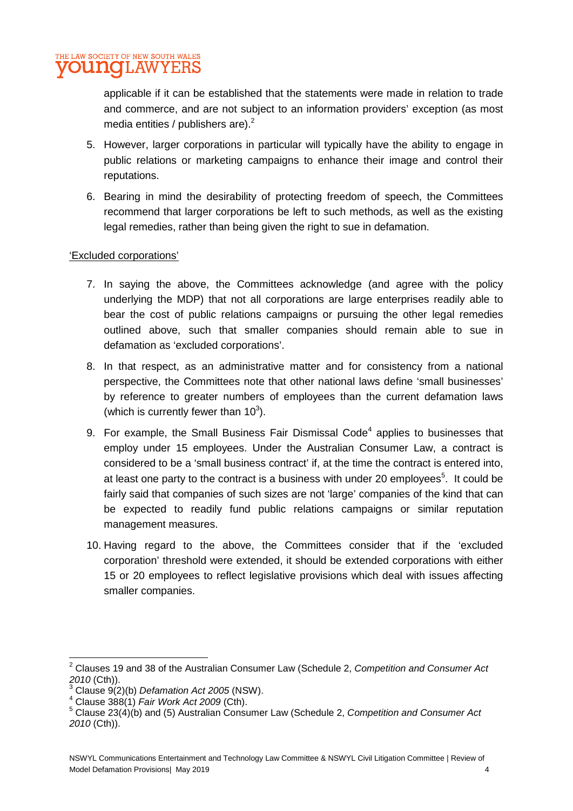

applicable if it can be established that the statements were made in relation to trade and commerce, and are not subject to an information providers' exception (as most media entities / publishers are). $<sup>2</sup>$ </sup>

- 5. However, larger corporations in particular will typically have the ability to engage in public relations or marketing campaigns to enhance their image and control their reputations.
- 6. Bearing in mind the desirability of protecting freedom of speech, the Committees recommend that larger corporations be left to such methods, as well as the existing legal remedies, rather than being given the right to sue in defamation.

#### 'Excluded corporations'

- 7. In saying the above, the Committees acknowledge (and agree with the policy underlying the MDP) that not all corporations are large enterprises readily able to bear the cost of public relations campaigns or pursuing the other legal remedies outlined above, such that smaller companies should remain able to sue in defamation as 'excluded corporations'.
- 8. In that respect, as an administrative matter and for consistency from a national perspective, the Committees note that other national laws define 'small businesses' by reference to greater numbers of employees than the current defamation laws (which is currently fewer than  $10^3$ ).
- 9. For example, the Small Business Fair Dismissal Code<sup>4</sup> applies to businesses that employ under 15 employees. Under the Australian Consumer Law, a contract is considered to be a 'small business contract' if, at the time the contract is entered into, at least one party to the contract is a business with under 20 employees<sup>5</sup>. It could be fairly said that companies of such sizes are not 'large' companies of the kind that can be expected to readily fund public relations campaigns or similar reputation management measures.
- 10. Having regard to the above, the Committees consider that if the 'excluded corporation' threshold were extended, it should be extended corporations with either 15 or 20 employees to reflect legislative provisions which deal with issues affecting smaller companies.

<sup>2</sup> Clauses 19 and 38 of the Australian Consumer Law (Schedule 2, *Competition and Consumer Act 2010* (Cth)). 3

Clause 9(2)(b) *Defamation Act 2005* (NSW).

<sup>4</sup> Clause 388(1) *Fair Work Act 2009* (Cth).

<sup>5</sup> Clause 23(4)(b) and (5) Australian Consumer Law (Schedule 2, *Competition and Consumer Act 2010* (Cth)).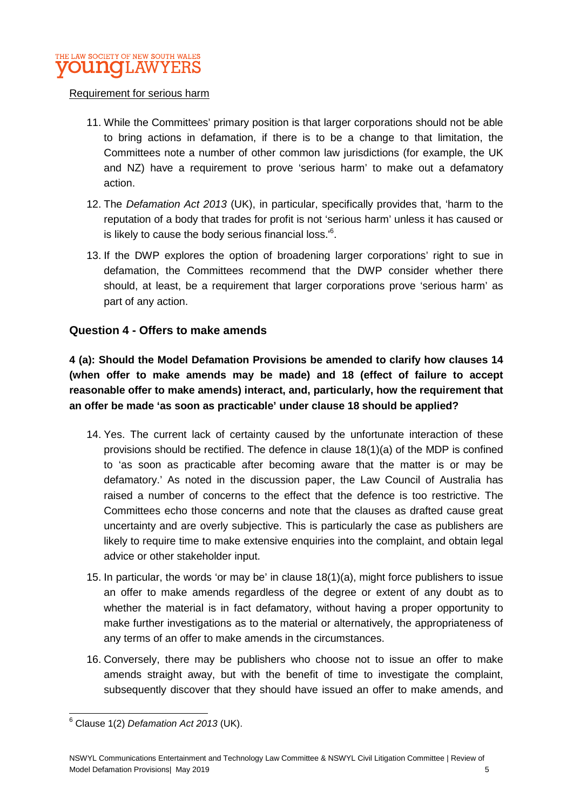

#### Requirement for serious harm

- 11. While the Committees' primary position is that larger corporations should not be able to bring actions in defamation, if there is to be a change to that limitation, the Committees note a number of other common law jurisdictions (for example, the UK and NZ) have a requirement to prove 'serious harm' to make out a defamatory action.
- 12. The *Defamation Act 2013* (UK), in particular, specifically provides that, 'harm to the reputation of a body that trades for profit is not 'serious harm' unless it has caused or is likely to cause the body serious financial loss.<sup>6</sup>.
- 13. If the DWP explores the option of broadening larger corporations' right to sue in defamation, the Committees recommend that the DWP consider whether there should, at least, be a requirement that larger corporations prove 'serious harm' as part of any action.

#### **Question 4 - Offers to make amends**

**4 (a): Should the Model Defamation Provisions be amended to clarify how clauses 14 (when offer to make amends may be made) and 18 (effect of failure to accept reasonable offer to make amends) interact, and, particularly, how the requirement that an offer be made 'as soon as practicable' under clause 18 should be applied?** 

- 14. Yes. The current lack of certainty caused by the unfortunate interaction of these provisions should be rectified. The defence in clause 18(1)(a) of the MDP is confined to 'as soon as practicable after becoming aware that the matter is or may be defamatory.' As noted in the discussion paper, the Law Council of Australia has raised a number of concerns to the effect that the defence is too restrictive. The Committees echo those concerns and note that the clauses as drafted cause great uncertainty and are overly subjective. This is particularly the case as publishers are likely to require time to make extensive enquiries into the complaint, and obtain legal advice or other stakeholder input.
- 15. In particular, the words 'or may be' in clause 18(1)(a), might force publishers to issue an offer to make amends regardless of the degree or extent of any doubt as to whether the material is in fact defamatory, without having a proper opportunity to make further investigations as to the material or alternatively, the appropriateness of any terms of an offer to make amends in the circumstances.
- 16. Conversely, there may be publishers who choose not to issue an offer to make amends straight away, but with the benefit of time to investigate the complaint, subsequently discover that they should have issued an offer to make amends, and

<sup>6</sup> Clause 1(2) *Defamation Act 2013* (UK).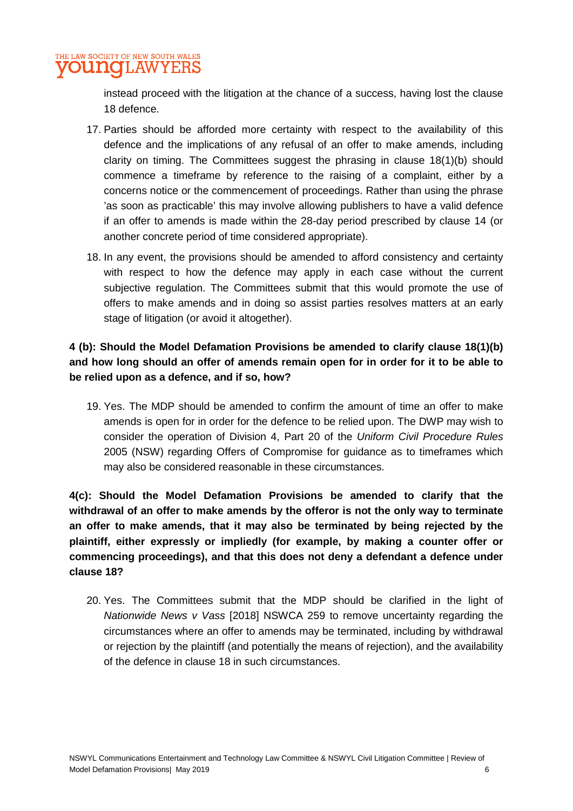#### THE LAW SOCIETY OF NEW SOUTH WALES **OUNOLAWYERS**

instead proceed with the litigation at the chance of a success, having lost the clause 18 defence.

- 17. Parties should be afforded more certainty with respect to the availability of this defence and the implications of any refusal of an offer to make amends, including clarity on timing. The Committees suggest the phrasing in clause 18(1)(b) should commence a timeframe by reference to the raising of a complaint, either by a concerns notice or the commencement of proceedings. Rather than using the phrase 'as soon as practicable' this may involve allowing publishers to have a valid defence if an offer to amends is made within the 28-day period prescribed by clause 14 (or another concrete period of time considered appropriate).
- 18. In any event, the provisions should be amended to afford consistency and certainty with respect to how the defence may apply in each case without the current subjective regulation. The Committees submit that this would promote the use of offers to make amends and in doing so assist parties resolves matters at an early stage of litigation (or avoid it altogether).

## **4 (b): Should the Model Defamation Provisions be amended to clarify clause 18(1)(b) and how long should an offer of amends remain open for in order for it to be able to be relied upon as a defence, and if so, how?**

19. Yes. The MDP should be amended to confirm the amount of time an offer to make amends is open for in order for the defence to be relied upon. The DWP may wish to consider the operation of Division 4, Part 20 of the *Uniform Civil Procedure Rules* 2005 (NSW) regarding Offers of Compromise for guidance as to timeframes which may also be considered reasonable in these circumstances.

**4(c): Should the Model Defamation Provisions be amended to clarify that the withdrawal of an offer to make amends by the offeror is not the only way to terminate an offer to make amends, that it may also be terminated by being rejected by the plaintiff, either expressly or impliedly (for example, by making a counter offer or commencing proceedings), and that this does not deny a defendant a defence under clause 18?** 

20. Yes. The Committees submit that the MDP should be clarified in the light of *Nationwide News v Vass* [2018] NSWCA 259 to remove uncertainty regarding the circumstances where an offer to amends may be terminated, including by withdrawal or rejection by the plaintiff (and potentially the means of rejection), and the availability of the defence in clause 18 in such circumstances.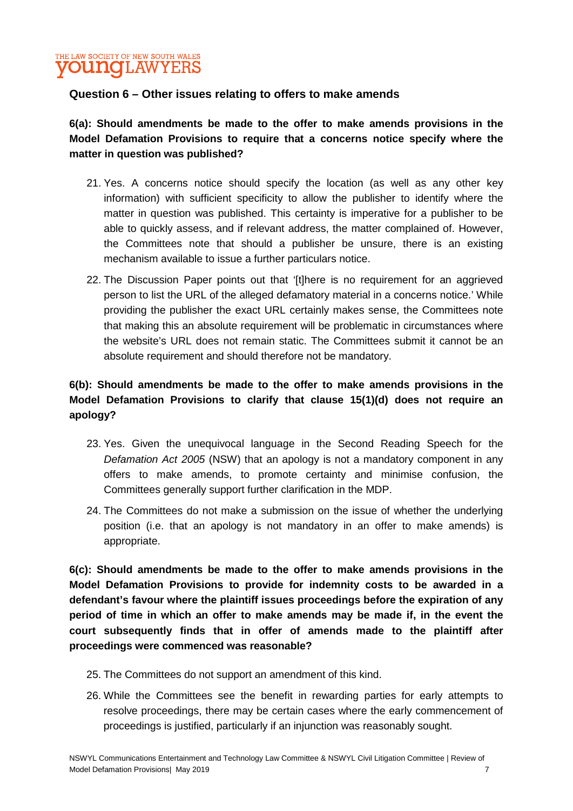## THE LAW SOCIETY OF NEW SOUTH WALES **OUNOLAW**

#### **Question 6 – Other issues relating to offers to make amends**

**6(a): Should amendments be made to the offer to make amends provisions in the Model Defamation Provisions to require that a concerns notice specify where the matter in question was published?** 

- 21. Yes. A concerns notice should specify the location (as well as any other key information) with sufficient specificity to allow the publisher to identify where the matter in question was published. This certainty is imperative for a publisher to be able to quickly assess, and if relevant address, the matter complained of. However, the Committees note that should a publisher be unsure, there is an existing mechanism available to issue a further particulars notice.
- 22. The Discussion Paper points out that '[t]here is no requirement for an aggrieved person to list the URL of the alleged defamatory material in a concerns notice.' While providing the publisher the exact URL certainly makes sense, the Committees note that making this an absolute requirement will be problematic in circumstances where the website's URL does not remain static. The Committees submit it cannot be an absolute requirement and should therefore not be mandatory.

## **6(b): Should amendments be made to the offer to make amends provisions in the Model Defamation Provisions to clarify that clause 15(1)(d) does not require an apology?**

- 23. Yes. Given the unequivocal language in the Second Reading Speech for the *Defamation Act 2005* (NSW) that an apology is not a mandatory component in any offers to make amends, to promote certainty and minimise confusion, the Committees generally support further clarification in the MDP.
- 24. The Committees do not make a submission on the issue of whether the underlying position (i.e. that an apology is not mandatory in an offer to make amends) is appropriate.

**6(c): Should amendments be made to the offer to make amends provisions in the Model Defamation Provisions to provide for indemnity costs to be awarded in a defendant's favour where the plaintiff issues proceedings before the expiration of any period of time in which an offer to make amends may be made if, in the event the court subsequently finds that in offer of amends made to the plaintiff after proceedings were commenced was reasonable?** 

- 25. The Committees do not support an amendment of this kind.
- 26. While the Committees see the benefit in rewarding parties for early attempts to resolve proceedings, there may be certain cases where the early commencement of proceedings is justified, particularly if an injunction was reasonably sought.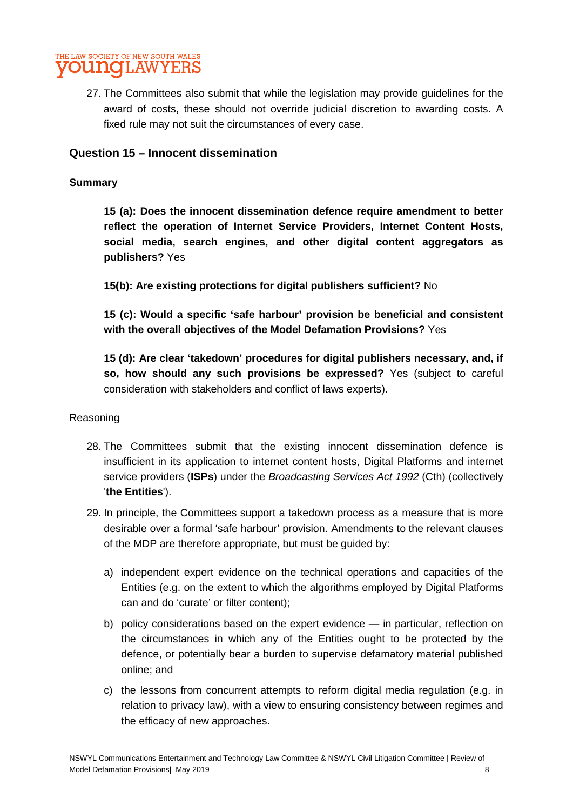

27. The Committees also submit that while the legislation may provide guidelines for the award of costs, these should not override judicial discretion to awarding costs. A fixed rule may not suit the circumstances of every case.

#### **Question 15 – Innocent dissemination**

#### **Summary**

**15 (a): Does the innocent dissemination defence require amendment to better reflect the operation of Internet Service Providers, Internet Content Hosts, social media, search engines, and other digital content aggregators as publishers?** Yes

**15(b): Are existing protections for digital publishers sufficient?** No

**15 (c): Would a specific 'safe harbour' provision be beneficial and consistent with the overall objectives of the Model Defamation Provisions?** Yes

**15 (d): Are clear 'takedown' procedures for digital publishers necessary, and, if so, how should any such provisions be expressed?** Yes (subject to careful consideration with stakeholders and conflict of laws experts).

#### Reasoning

- 28. The Committees submit that the existing innocent dissemination defence is insufficient in its application to internet content hosts, Digital Platforms and internet service providers (**ISPs**) under the *Broadcasting Services Act 1992* (Cth) (collectively '**the Entities**').
- 29. In principle, the Committees support a takedown process as a measure that is more desirable over a formal 'safe harbour' provision. Amendments to the relevant clauses of the MDP are therefore appropriate, but must be guided by:
	- a) independent expert evidence on the technical operations and capacities of the Entities (e.g. on the extent to which the algorithms employed by Digital Platforms can and do 'curate' or filter content);
	- b) policy considerations based on the expert evidence in particular, reflection on the circumstances in which any of the Entities ought to be protected by the defence, or potentially bear a burden to supervise defamatory material published online; and
	- c) the lessons from concurrent attempts to reform digital media regulation (e.g. in relation to privacy law), with a view to ensuring consistency between regimes and the efficacy of new approaches.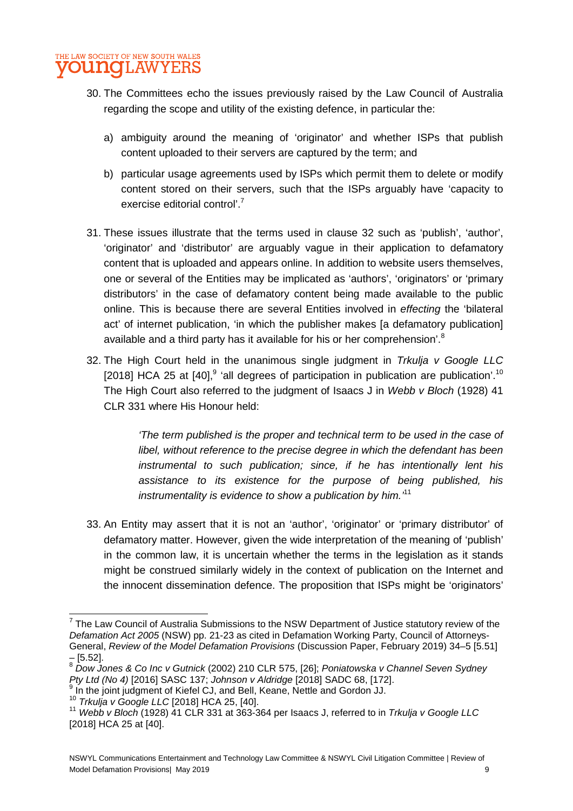- 30. The Committees echo the issues previously raised by the Law Council of Australia regarding the scope and utility of the existing defence, in particular the:
	- a) ambiguity around the meaning of 'originator' and whether ISPs that publish content uploaded to their servers are captured by the term; and
	- b) particular usage agreements used by ISPs which permit them to delete or modify content stored on their servers, such that the ISPs arguably have 'capacity to exercise editorial control'.<sup>7</sup>
- 31. These issues illustrate that the terms used in clause 32 such as 'publish', 'author', 'originator' and 'distributor' are arguably vague in their application to defamatory content that is uploaded and appears online. In addition to website users themselves, one or several of the Entities may be implicated as 'authors', 'originators' or 'primary distributors' in the case of defamatory content being made available to the public online. This is because there are several Entities involved in *effecting* the 'bilateral act' of internet publication, 'in which the publisher makes [a defamatory publication] available and a third party has it available for his or her comprehension'.<sup>8</sup>
- 32. The High Court held in the unanimous single judgment in *Trkulja v Google LLC* [2018] HCA 25 at  $[40]$ ,<sup>9</sup> 'all degrees of participation in publication are publication'.<sup>10</sup> The High Court also referred to the judgment of Isaacs J in *Webb v Bloch* (1928) 41 CLR 331 where His Honour held:

*'The term published is the proper and technical term to be used in the case of libel, without reference to the precise degree in which the defendant has been instrumental to such publication; since, if he has intentionally lent his assistance to its existence for the purpose of being published, his instrumentality is evidence to show a publication by him.'*<sup>11</sup>

33. An Entity may assert that it is not an 'author', 'originator' or 'primary distributor' of defamatory matter. However, given the wide interpretation of the meaning of 'publish' in the common law, it is uncertain whether the terms in the legislation as it stands might be construed similarly widely in the context of publication on the Internet and the innocent dissemination defence. The proposition that ISPs might be 'originators'

 $7$  The Law Council of Australia Submissions to the NSW Department of Justice statutory review of the *Defamation Act 2005* (NSW) pp. 21-23 as cited in Defamation Working Party, Council of Attorneys-General, *Review of the Model Defamation Provisions* (Discussion Paper, February 2019) 34–5 [5.51] – [5.52].

<sup>8</sup> *Dow Jones & Co Inc v Gutnick* (2002) 210 CLR 575, [26]; *Poniatowska v Channel Seven Sydney Pty Ltd (No 4)* [2016] SASC 137; *Johnson v Aldridge* [2018] SADC 68, [172].

<sup>&</sup>lt;sup>9</sup> In the joint judgment of Kiefel CJ, and Bell, Keane, Nettle and Gordon JJ.

<sup>10</sup> *Trkulja v Google LLC* [2018] HCA 25, [40].

<sup>11</sup> *Webb v Bloch* (1928) 41 CLR 331 at 363-364 per Isaacs J, referred to in *Trkulja v Google LLC* [2018] HCA 25 at [40].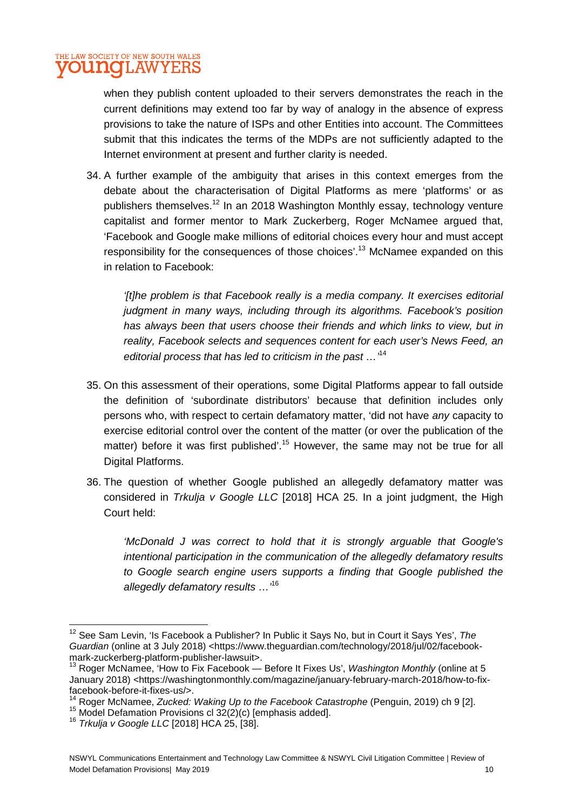when they publish content uploaded to their servers demonstrates the reach in the current definitions may extend too far by way of analogy in the absence of express provisions to take the nature of ISPs and other Entities into account. The Committees submit that this indicates the terms of the MDPs are not sufficiently adapted to the Internet environment at present and further clarity is needed.

34. A further example of the ambiguity that arises in this context emerges from the debate about the characterisation of Digital Platforms as mere 'platforms' or as publishers themselves.<sup>12</sup> In an 2018 Washington Monthly essay, technology venture capitalist and former mentor to Mark Zuckerberg, Roger McNamee argued that, 'Facebook and Google make millions of editorial choices every hour and must accept responsibility for the consequences of those choices'.<sup>13</sup> McNamee expanded on this in relation to Facebook:

*'[t]he problem is that Facebook really is a media company. It exercises editorial judgment in many ways, including through its algorithms. Facebook's position has always been that users choose their friends and which links to view, but in reality, Facebook selects and sequences content for each user's News Feed, an editorial process that has led to criticism in the past …'*<sup>14</sup>

- 35. On this assessment of their operations, some Digital Platforms appear to fall outside the definition of 'subordinate distributors' because that definition includes only persons who, with respect to certain defamatory matter, 'did not have *any* capacity to exercise editorial control over the content of the matter (or over the publication of the matter) before it was first published<sup>'.15</sup> However, the same may not be true for all Digital Platforms.
- 36. The question of whether Google published an allegedly defamatory matter was considered in *Trkulja v Google LLC* [2018] HCA 25. In a joint judgment, the High Court held:

*'McDonald J was correct to hold that it is strongly arguable that Google's intentional participation in the communication of the allegedly defamatory results to Google search engine users supports a finding that Google published the allegedly defamatory results …'*<sup>16</sup>

<sup>12</sup> See Sam Levin, 'Is Facebook a Publisher? In Public it Says No, but in Court it Says Yes', *The*  Guardian (online at 3 July 2018) <https://www.theguardian.com/technology/2018/jul/02/facebookmark-zuckerberg-platform-publisher-lawsuit>.

<sup>&</sup>lt;sup>13</sup> Roger McNamee, 'How to Fix Facebook — Before It Fixes Us', *Washington Monthly* (online at 5 January 2018) <https://washingtonmonthly.com/magazine/january-february-march-2018/how-to-fixfacebook-before-it-fixes-us/>.

<sup>14</sup> Roger McNamee, *Zucked: Waking Up to the Facebook Catastrophe* (Penguin, 2019) ch 9 [2].

 $15$  Model Defamation Provisions cl  $32(2)(c)$  [emphasis added].

<sup>16</sup> *Trkulja v Google LLC* [2018] HCA 25, [38].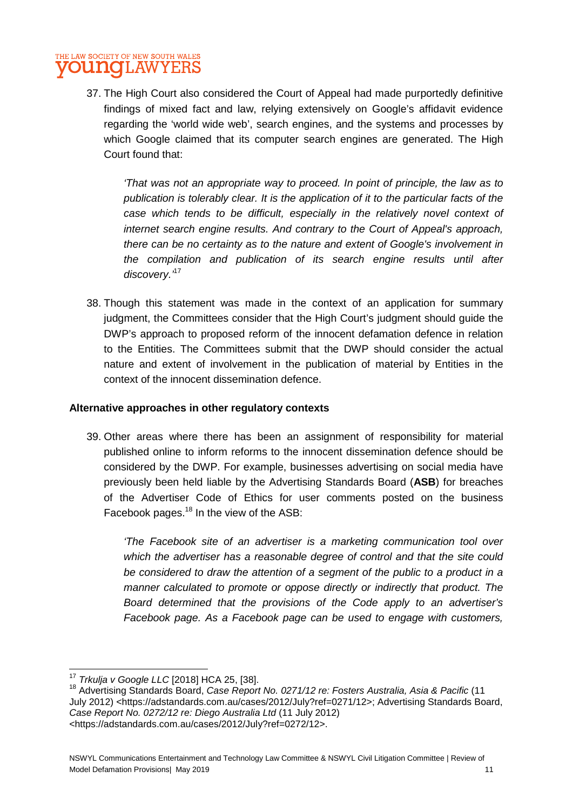#### THE LAW SOCIETY OF NEW SOUTH WALES **OUNGLAW** YERS

37. The High Court also considered the Court of Appeal had made purportedly definitive findings of mixed fact and law, relying extensively on Google's affidavit evidence regarding the 'world wide web', search engines, and the systems and processes by which Google claimed that its computer search engines are generated. The High Court found that:

*'That was not an appropriate way to proceed. In point of principle, the law as to publication is tolerably clear. It is the application of it to the particular facts of the*  case which tends to be difficult, especially in the relatively novel context of *internet search engine results. And contrary to the Court of Appeal's approach, there can be no certainty as to the nature and extent of Google's involvement in the compilation and publication of its search engine results until after discovery.'*<sup>17</sup>

38. Though this statement was made in the context of an application for summary judgment, the Committees consider that the High Court's judgment should guide the DWP's approach to proposed reform of the innocent defamation defence in relation to the Entities. The Committees submit that the DWP should consider the actual nature and extent of involvement in the publication of material by Entities in the context of the innocent dissemination defence.

#### **Alternative approaches in other regulatory contexts**

39. Other areas where there has been an assignment of responsibility for material published online to inform reforms to the innocent dissemination defence should be considered by the DWP. For example, businesses advertising on social media have previously been held liable by the Advertising Standards Board (**ASB**) for breaches of the Advertiser Code of Ethics for user comments posted on the business Facebook pages.<sup>18</sup> In the view of the ASB:

*'The Facebook site of an advertiser is a marketing communication tool over which the advertiser has a reasonable degree of control and that the site could be considered to draw the attention of a segment of the public to a product in a manner calculated to promote or oppose directly or indirectly that product. The Board determined that the provisions of the Code apply to an advertiser's Facebook page. As a Facebook page can be used to engage with customers,* 

<sup>17</sup> *Trkulja v Google LLC* [2018] HCA 25, [38].

<sup>18</sup> Advertising Standards Board, *Case Report No. 0271/12 re: Fosters Australia, Asia & Pacific* (11 July 2012) <https://adstandards.com.au/cases/2012/July?ref=0271/12>; Advertising Standards Board, *Case Report No. 0272/12 re: Diego Australia Ltd* (11 July 2012) <https://adstandards.com.au/cases/2012/July?ref=0272/12>.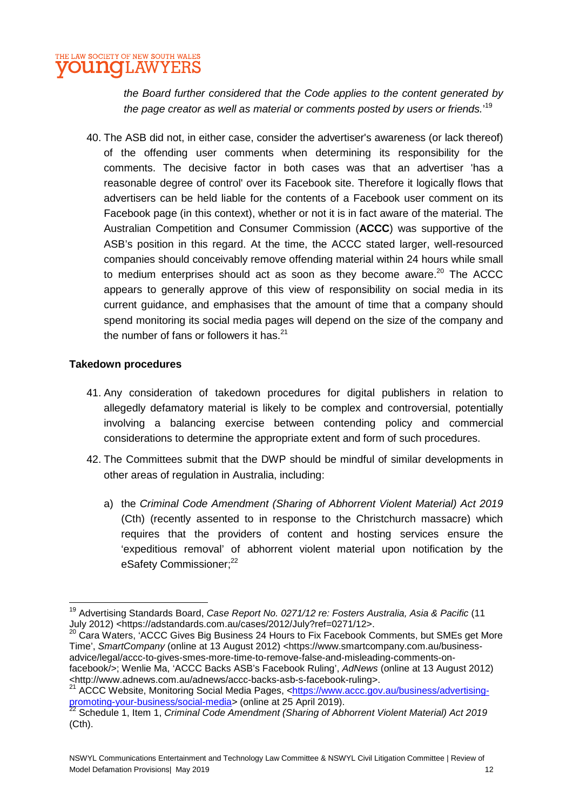#### THE LAW SOCIETY OF NEW SOUTH WALES **OUNQLAW** YEF

*the Board further considered that the Code applies to the content generated by the page creator as well as material or comments posted by users or friends.*' 19

40. The ASB did not, in either case, consider the advertiser's awareness (or lack thereof) of the offending user comments when determining its responsibility for the comments. The decisive factor in both cases was that an advertiser 'has a reasonable degree of control' over its Facebook site. Therefore it logically flows that advertisers can be held liable for the contents of a Facebook user comment on its Facebook page (in this context), whether or not it is in fact aware of the material. The Australian Competition and Consumer Commission (**ACCC**) was supportive of the ASB's position in this regard. At the time, the ACCC stated larger, well-resourced companies should conceivably remove offending material within 24 hours while small to medium enterprises should act as soon as they become aware. $20$  The ACCC appears to generally approve of this view of responsibility on social media in its current guidance, and emphasises that the amount of time that a company should spend monitoring its social media pages will depend on the size of the company and the number of fans or followers it has. $21$ 

#### **Takedown procedures**

- 41. Any consideration of takedown procedures for digital publishers in relation to allegedly defamatory material is likely to be complex and controversial, potentially involving a balancing exercise between contending policy and commercial considerations to determine the appropriate extent and form of such procedures.
- 42. The Committees submit that the DWP should be mindful of similar developments in other areas of regulation in Australia, including:
	- a) the *Criminal Code Amendment (Sharing of Abhorrent Violent Material) Act 2019* (Cth) (recently assented to in response to the Christchurch massacre) which requires that the providers of content and hosting services ensure the 'expeditious removal' of abhorrent violent material upon notification by the eSafety Commissioner:<sup>22</sup>

<sup>20</sup> Cara Waters, 'ACCC Gives Big Business 24 Hours to Fix Facebook Comments, but SMEs get More Time', *SmartCompany* (online at 13 August 2012) <https://www.smartcompany.com.au/businessadvice/legal/accc-to-gives-smes-more-time-to-remove-false-and-misleading-comments-onfacebook/>; Wenlie Ma, 'ACCC Backs ASB's Facebook Ruling', *AdNews* (online at 13 August 2012) <http://www.adnews.com.au/adnews/accc-backs-asb-s-facebook-ruling>.

<sup>19</sup> Advertising Standards Board, *Case Report No. 0271/12 re: Fosters Australia, Asia & Pacific* (11 July 2012) <https://adstandards.com.au/cases/2012/July?ref=0271/12>.

<sup>21</sup> ACCC Website, Monitoring Social Media Pages, <https://www.accc.gov.au/business/advertisingpromoting-your-business/social-media> (online at 25 April 2019).

<sup>22</sup> Schedule 1, Item 1, *Criminal Code Amendment (Sharing of Abhorrent Violent Material) Act 2019* (Cth).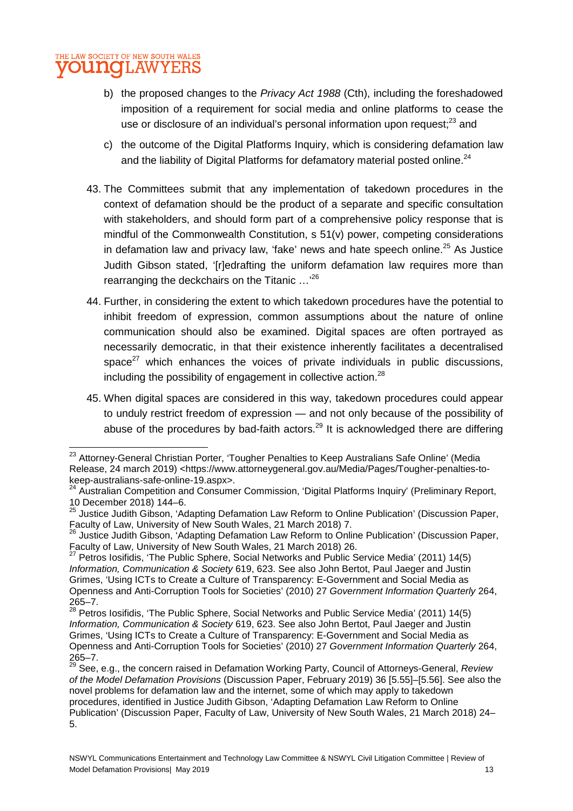- b) the proposed changes to the *Privacy Act 1988* (Cth), including the foreshadowed imposition of a requirement for social media and online platforms to cease the use or disclosure of an individual's personal information upon request:<sup>23</sup> and
- c) the outcome of the Digital Platforms Inquiry, which is considering defamation law and the liability of Digital Platforms for defamatory material posted online.<sup>24</sup>
- 43. The Committees submit that any implementation of takedown procedures in the context of defamation should be the product of a separate and specific consultation with stakeholders, and should form part of a comprehensive policy response that is mindful of the Commonwealth Constitution, s 51(v) power, competing considerations in defamation law and privacy law, 'fake' news and hate speech online. $25$  As Justice Judith Gibson stated, '[r]edrafting the uniform defamation law requires more than rearranging the deckchairs on the Titanic …'<sup>26</sup>
- 44. Further, in considering the extent to which takedown procedures have the potential to inhibit freedom of expression, common assumptions about the nature of online communication should also be examined. Digital spaces are often portrayed as necessarily democratic, in that their existence inherently facilitates a decentralised space $^{27}$  which enhances the voices of private individuals in public discussions, including the possibility of engagement in collective action.<sup>28</sup>
- 45. When digital spaces are considered in this way, takedown procedures could appear to unduly restrict freedom of expression — and not only because of the possibility of abuse of the procedures by bad-faith actors.<sup>29</sup> It is acknowledged there are differing

<sup>&</sup>lt;sup>23</sup> Attornev-General Christian Porter, 'Tougher Penalties to Keep Australians Safe Online' (Media Release, 24 march 2019) <https://www.attorneygeneral.gov.au/Media/Pages/Tougher-penalties-tokeep-australians-safe-online-19.aspx>.

<sup>&</sup>lt;sup>24</sup> Australian Competition and Consumer Commission, 'Digital Platforms Inquiry' (Preliminary Report, 10 December 2018) 144–6.

<sup>25</sup> Justice Judith Gibson, 'Adapting Defamation Law Reform to Online Publication' (Discussion Paper, Faculty of Law, University of New South Wales, 21 March 2018) 7.

<sup>&</sup>lt;sup>26</sup> Justice Judith Gibson, 'Adapting Defamation Law Reform to Online Publication' (Discussion Paper, Faculty of Law, University of New South Wales, 21 March 2018) 26.

 $27$  Petros Iosifidis, 'The Public Sphere, Social Networks and Public Service Media' (2011) 14(5) *Information, Communication & Society* 619, 623. See also John Bertot, Paul Jaeger and Justin Grimes, 'Using ICTs to Create a Culture of Transparency: E-Government and Social Media as Openness and Anti-Corruption Tools for Societies' (2010) 27 *Government Information Quarterly* 264, 265–7.

 $^{28}$  Petros Iosifidis, 'The Public Sphere, Social Networks and Public Service Media' (2011) 14(5) *Information, Communication & Society* 619, 623. See also John Bertot, Paul Jaeger and Justin Grimes, 'Using ICTs to Create a Culture of Transparency: E-Government and Social Media as Openness and Anti-Corruption Tools for Societies' (2010) 27 *Government Information Quarterly* 264,  $265 - 7.$ 

<sup>29</sup> See, e.g., the concern raised in Defamation Working Party, Council of Attorneys-General, *Review of the Model Defamation Provisions* (Discussion Paper, February 2019) 36 [5.55]–[5.56]. See also the novel problems for defamation law and the internet, some of which may apply to takedown procedures, identified in Justice Judith Gibson, 'Adapting Defamation Law Reform to Online Publication' (Discussion Paper, Faculty of Law, University of New South Wales, 21 March 2018) 24– 5.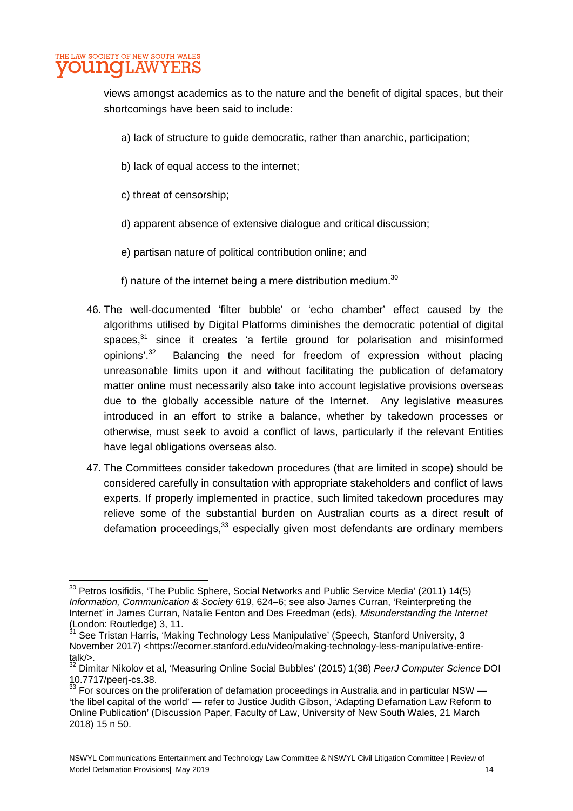#### THE LAW SOCIETY OF NEW SOUTH WALES **OUNGLAW** YEI

views amongst academics as to the nature and the benefit of digital spaces, but their shortcomings have been said to include:

- a) lack of structure to guide democratic, rather than anarchic, participation;
- b) lack of equal access to the internet;
- c) threat of censorship;
- d) apparent absence of extensive dialogue and critical discussion;
- e) partisan nature of political contribution online; and
- f) nature of the internet being a mere distribution medium. $30$
- 46. The well-documented 'filter bubble' or 'echo chamber' effect caused by the algorithms utilised by Digital Platforms diminishes the democratic potential of digital spaces.<sup>31</sup> since it creates 'a fertile ground for polarisation and misinformed opinions'.<sup>32</sup> Balancing the need for freedom of expression without placing unreasonable limits upon it and without facilitating the publication of defamatory matter online must necessarily also take into account legislative provisions overseas due to the globally accessible nature of the Internet. Any legislative measures introduced in an effort to strike a balance, whether by takedown processes or otherwise, must seek to avoid a conflict of laws, particularly if the relevant Entities have legal obligations overseas also.
- 47. The Committees consider takedown procedures (that are limited in scope) should be considered carefully in consultation with appropriate stakeholders and conflict of laws experts. If properly implemented in practice, such limited takedown procedures may relieve some of the substantial burden on Australian courts as a direct result of defamation proceedings,<sup>33</sup> especially given most defendants are ordinary members

<sup>&</sup>lt;sup>30</sup> Petros Iosifidis, 'The Public Sphere, Social Networks and Public Service Media' (2011) 14(5) *Information, Communication & Society* 619, 624–6; see also James Curran, 'Reinterpreting the Internet' in James Curran, Natalie Fenton and Des Freedman (eds), *Misunderstanding the Internet*  (London: Routledge) 3, 11.

<sup>&</sup>lt;sup>31</sup> See Tristan Harris, 'Making Technology Less Manipulative' (Speech, Stanford University, 3 November 2017) <https://ecorner.stanford.edu/video/making-technology-less-manipulative-entiretalk/>.

<sup>32</sup> Dimitar Nikolov et al, 'Measuring Online Social Bubbles' (2015) 1(38) *PeerJ Computer Science* DOI 10.7717/peerj-cs.38.

 $33$  For sources on the proliferation of defamation proceedings in Australia and in particular NSW  $-$ 'the libel capital of the world' — refer to Justice Judith Gibson, 'Adapting Defamation Law Reform to Online Publication' (Discussion Paper, Faculty of Law, University of New South Wales, 21 March 2018) 15 n 50.